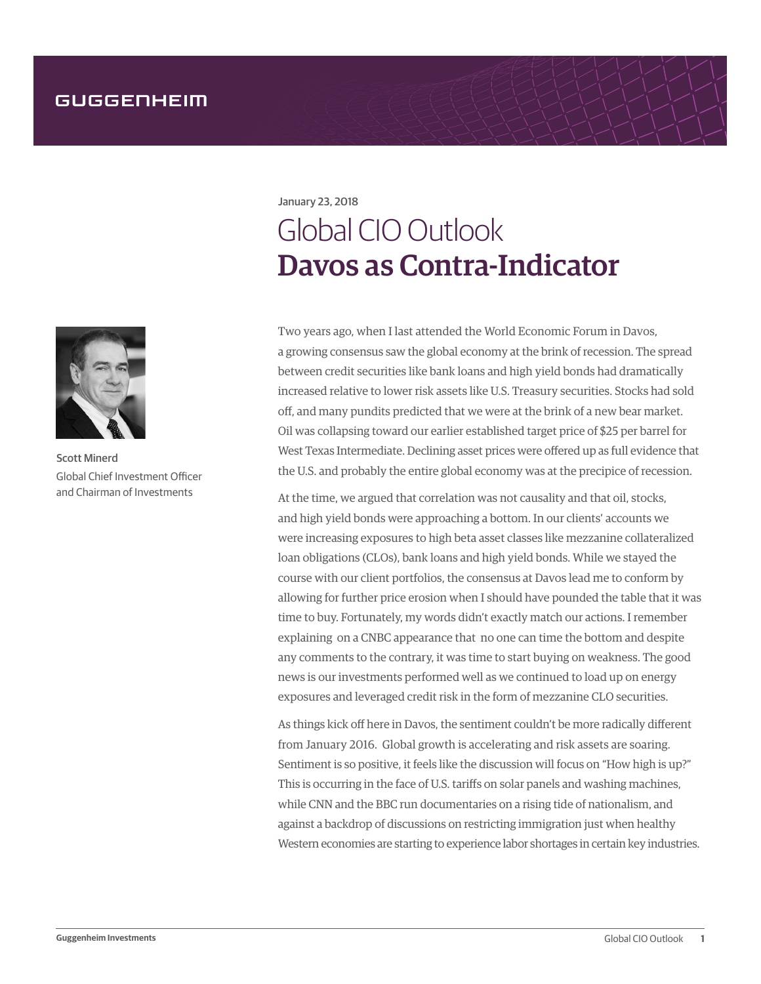January 23, 2018

## Global CIO Outlook Davos as Contra-Indicator

Two years ago, when I last attended the World Economic Forum in Davos, a growing consensus saw the global economy at the brink of recession. The spread between credit securities like bank loans and high yield bonds had dramatically increased relative to lower risk assets like U.S. Treasury securities. Stocks had sold off, and many pundits predicted that we were at the brink of a new bear market. Oil was collapsing toward our earlier established target price of \$25 per barrel for West Texas Intermediate. Declining asset prices were offered up as full evidence that the U.S. and probably the entire global economy was at the precipice of recession.

At the time, we argued that correlation was not causality and that oil, stocks, and high yield bonds were approaching a bottom. In our clients' accounts we were increasing exposures to high beta asset classes like mezzanine collateralized loan obligations (CLOs), bank loans and high yield bonds. While we stayed the course with our client portfolios, the consensus at Davos lead me to conform by allowing for further price erosion when I should have pounded the table that it was time to buy. Fortunately, my words didn't exactly match our actions. I remember explaining on a CNBC appearance that no one can time the bottom and despite any comments to the contrary, it was time to start buying on weakness. The good news is our investments performed well as we continued to load up on energy exposures and leveraged credit risk in the form of mezzanine CLO securities.

As things kick off here in Davos, the sentiment couldn't be more radically different from January 2016. Global growth is accelerating and risk assets are soaring. Sentiment is so positive, it feels like the discussion will focus on "How high is up?" This is occurring in the face of U.S. tariffs on solar panels and washing machines, while CNN and the BBC run documentaries on a rising tide of nationalism, and against a backdrop of discussions on restricting immigration just when healthy Western economies are starting to experience labor shortages in certain key industries.



Scott Minerd Global Chief Investment Officer and Chairman of Investments